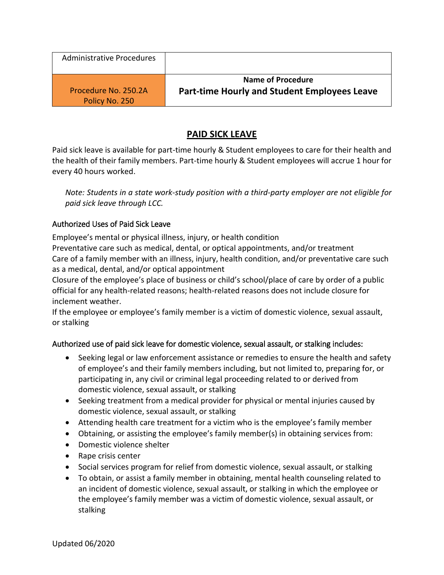| <b>Administrative Procedures</b> |                                                     |
|----------------------------------|-----------------------------------------------------|
| Procedure No. 250.2A             | Name of Procedure                                   |
| Policy No. 250                   | <b>Part-time Hourly and Student Employees Leave</b> |

# **PAID SICK LEAVE**

Paid sick leave is available for part-time hourly & Student employees to care for their health and the health of their family members. Part-time hourly & Student employees will accrue 1 hour for every 40 hours worked.

*Note: Students in a state work-study position with a third-party employer are not eligible for paid sick leave through LCC.* 

# Authorized Uses of Paid Sick Leave

Employee's mental or physical illness, injury, or health condition

Preventative care such as medical, dental, or optical appointments, and/or treatment Care of a family member with an illness, injury, health condition, and/or preventative care such as a medical, dental, and/or optical appointment

Closure of the employee's place of business or child's school/place of care by order of a public official for any health-related reasons; health-related reasons does not include closure for inclement weather.

If the employee or employee's family member is a victim of domestic violence, sexual assault, or stalking

# Authorized use of paid sick leave for domestic violence, sexual assault, or stalking includes:

- Seeking legal or law enforcement assistance or remedies to ensure the health and safety of employee's and their family members including, but not limited to, preparing for, or participating in, any civil or criminal legal proceeding related to or derived from domestic violence, sexual assault, or stalking
- Seeking treatment from a medical provider for physical or mental injuries caused by domestic violence, sexual assault, or stalking
- Attending health care treatment for a victim who is the employee's family member
- Obtaining, or assisting the employee's family member(s) in obtaining services from:
- Domestic violence shelter
- Rape crisis center
- Social services program for relief from domestic violence, sexual assault, or stalking
- To obtain, or assist a family member in obtaining, mental health counseling related to an incident of domestic violence, sexual assault, or stalking in which the employee or the employee's family member was a victim of domestic violence, sexual assault, or stalking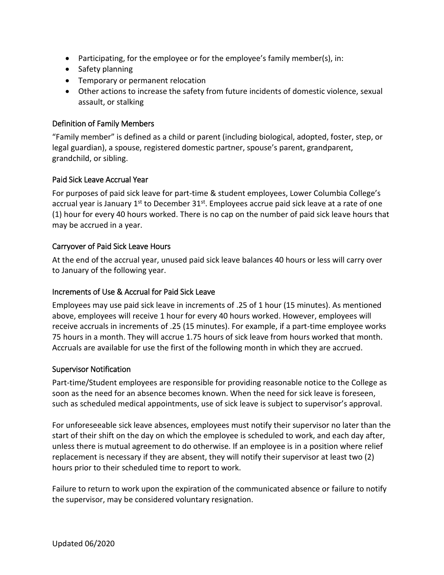- Participating, for the employee or for the employee's family member(s), in:
- Safety planning
- **•** Temporary or permanent relocation
- Other actions to increase the safety from future incidents of domestic violence, sexual assault, or stalking

#### Definition of Family Members

"Family member" is defined as a child or parent (including biological, adopted, foster, step, or legal guardian), a spouse, registered domestic partner, spouse's parent, grandparent, grandchild, or sibling.

#### Paid Sick Leave Accrual Year

For purposes of paid sick leave for part-time & student employees, Lower Columbia College's accrual year is January 1<sup>st</sup> to December 31<sup>st</sup>. Employees accrue paid sick leave at a rate of one (1) hour for every 40 hours worked. There is no cap on the number of paid sick leave hours that may be accrued in a year.

#### Carryover of Paid Sick Leave Hours

At the end of the accrual year, unused paid sick leave balances 40 hours or less will carry over to January of the following year.

#### Increments of Use & Accrual for Paid Sick Leave

Employees may use paid sick leave in increments of .25 of 1 hour (15 minutes). As mentioned above, employees will receive 1 hour for every 40 hours worked. However, employees will receive accruals in increments of .25 (15 minutes). For example, if a part-time employee works 75 hours in a month. They will accrue 1.75 hours of sick leave from hours worked that month. Accruals are available for use the first of the following month in which they are accrued.

#### Supervisor Notification

Part-time/Student employees are responsible for providing reasonable notice to the College as soon as the need for an absence becomes known. When the need for sick leave is foreseen, such as scheduled medical appointments, use of sick leave is subject to supervisor's approval.

For unforeseeable sick leave absences, employees must notify their supervisor no later than the start of their shift on the day on which the employee is scheduled to work, and each day after, unless there is mutual agreement to do otherwise. If an employee is in a position where relief replacement is necessary if they are absent, they will notify their supervisor at least two (2) hours prior to their scheduled time to report to work.

Failure to return to work upon the expiration of the communicated absence or failure to notify the supervisor, may be considered voluntary resignation.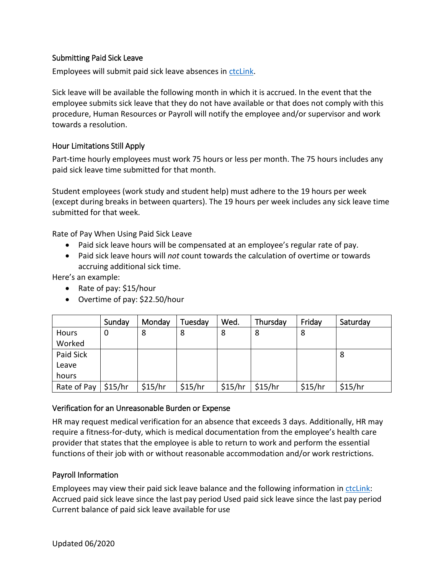#### Submitting Paid Sick Leave

Employees will submit paid sick leave absences in [ctcLink.](https://ptprd.ctclink.us/psp/ptprd/?cmd=login&languageCd=ENG&)

Sick leave will be available the following month in which it is accrued. In the event that the employee submits sick leave that they do not have available or that does not comply with this procedure, Human Resources or Payroll will notify the employee and/or supervisor and work towards a resolution.

#### Hour Limitations Still Apply

Part-time hourly employees must work 75 hours or less per month. The 75 hours includes any paid sick leave time submitted for that month.

Student employees (work study and student help) must adhere to the 19 hours per week (except during breaks in between quarters). The 19 hours per week includes any sick leave time submitted for that week.

Rate of Pay When Using Paid Sick Leave

- Paid sick leave hours will be compensated at an employee's regular rate of pay.
- Paid sick leave hours will *not* count towards the calculation of overtime or towards accruing additional sick time.

Here's an example:

- Rate of pay: \$15/hour
- Overtime of pay: \$22.50/hour

|             | Sunday  | Monday  | Tuesday | Wed.    | Thursday | Friday  | Saturday |
|-------------|---------|---------|---------|---------|----------|---------|----------|
| Hours       | 0       | 8       | 8       | 8       | 8        | 8       |          |
| Worked      |         |         |         |         |          |         |          |
| Paid Sick   |         |         |         |         |          |         | 8        |
| Leave       |         |         |         |         |          |         |          |
| hours       |         |         |         |         |          |         |          |
| Rate of Pay | \$15/hr | \$15/hr | \$15/hr | \$15/hr | \$15/hr  | \$15/hr | \$15/hr  |

# Verification for an Unreasonable Burden or Expense

HR may request medical verification for an absence that exceeds 3 days. Additionally, HR may require a fitness-for-duty, which is medical documentation from the employee's health care provider that states that the employee is able to return to work and perform the essential functions of their job with or without reasonable accommodation and/or work restrictions.

# Payroll Information

Employees may view their paid sick leave balance and the following information in [ctcLink:](https://ptprd.ctclink.us/psp/ptprd/?cmd=login&languageCd=ENG&) Accrued paid sick leave since the last pay period Used paid sick leave since the last pay period Current balance of paid sick leave available for use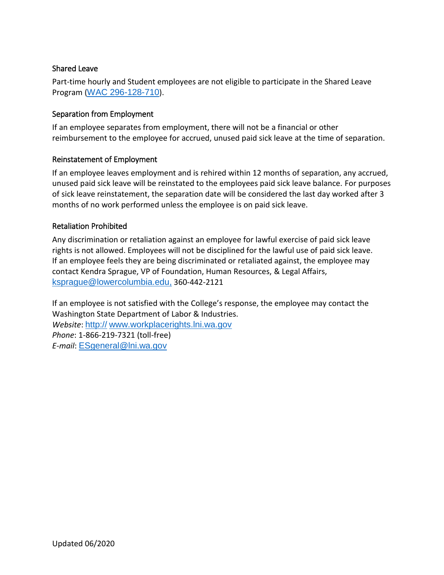#### Shared Leave

Part-time hourly and Student employees are not eligible to participate in the Shared Leave Program ([WAC 296-128-710](https://app.leg.wa.gov/wac/default.aspx?cite=296-128-710)).

#### Separation from Employment

If an employee separates from employment, there will not be a financial or other reimbursement to the employee for accrued, unused paid sick leave at the time of separation.

#### Reinstatement of Employment

If an employee leaves employment and is rehired within 12 months of separation, any accrued, unused paid sick leave will be reinstated to the employees paid sick leave balance. For purposes of sick leave reinstatement, the separation date will be considered the last day worked after 3 months of no work performed unless the employee is on paid sick leave.

#### Retaliation Prohibited

Any discrimination or retaliation against an employee for lawful exercise of paid sick leave rights is not allowed. Employees will not be disciplined for the lawful use of paid sick leave. If an employee feels they are being discriminated or retaliated against, the employee may contact Kendra Sprague, VP of Foundation, Human Resources, & Legal Affairs, [ksprague@lowercolumbia.edu,](mailto:ksprague@lowercolumbia.edu) 360-442-2121

If an employee is not satisfied with the College's response, the employee may contact the Washington State Department of Labor & Industries. *Website*: http:// [www.workplacerights.lni.wa.gov](http://www.lni.wa.gov/workplacerights/) *Phone*: 1-866-219-7321 (toll-free) *E-mail*: [ESgeneral@lni.wa.gov](mailto:ESgeneral@lni.wa.gov)